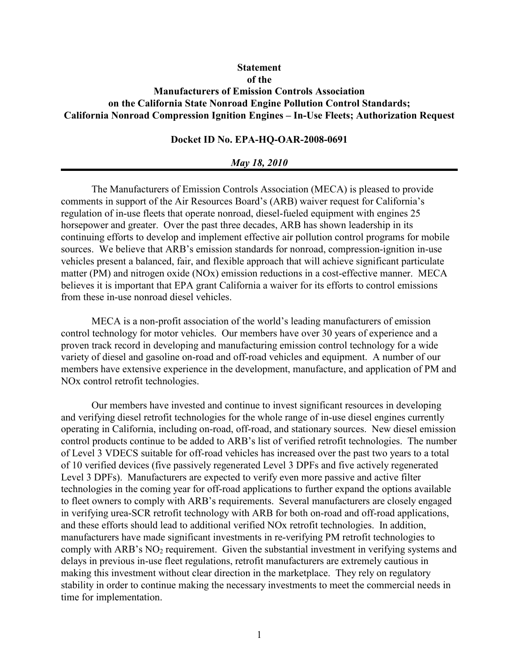# **Statement** of the Manufacturers of Emission Controls Association on the California State Nonroad Engine Pollution Control Standards; California Nonroad Compression Ignition Engines – In-Use Fleets; Authorization Request

# Docket ID No. EPA-HQ-OAR-2008-0691

#### May 18, 2010

The Manufacturers of Emission Controls Association (MECA) is pleased to provide comments in support of the Air Resources Board's (ARB) waiver request for California's regulation of in-use fleets that operate nonroad, diesel-fueled equipment with engines 25 horsepower and greater. Over the past three decades, ARB has shown leadership in its continuing efforts to develop and implement effective air pollution control programs for mobile sources. We believe that ARB's emission standards for nonroad, compression-ignition in-use vehicles present a balanced, fair, and flexible approach that will achieve significant particulate matter (PM) and nitrogen oxide (NOx) emission reductions in a cost-effective manner. MECA believes it is important that EPA grant California a waiver for its efforts to control emissions from these in-use nonroad diesel vehicles.

MECA is a non-profit association of the world's leading manufacturers of emission control technology for motor vehicles. Our members have over 30 years of experience and a proven track record in developing and manufacturing emission control technology for a wide variety of diesel and gasoline on-road and off-road vehicles and equipment. A number of our members have extensive experience in the development, manufacture, and application of PM and NOx control retrofit technologies.

Our members have invested and continue to invest significant resources in developing and verifying diesel retrofit technologies for the whole range of in-use diesel engines currently operating in California, including on-road, off-road, and stationary sources. New diesel emission control products continue to be added to ARB's list of verified retrofit technologies. The number of Level 3 VDECS suitable for off-road vehicles has increased over the past two years to a total of 10 verified devices (five passively regenerated Level 3 DPFs and five actively regenerated Level 3 DPFs). Manufacturers are expected to verify even more passive and active filter technologies in the coming year for off-road applications to further expand the options available to fleet owners to comply with ARB's requirements. Several manufacturers are closely engaged in verifying urea-SCR retrofit technology with ARB for both on-road and off-road applications, and these efforts should lead to additional verified NOx retrofit technologies. In addition, manufacturers have made significant investments in re-verifying PM retrofit technologies to comply with ARB's  $NO<sub>2</sub>$  requirement. Given the substantial investment in verifying systems and delays in previous in-use fleet regulations, retrofit manufacturers are extremely cautious in making this investment without clear direction in the marketplace. They rely on regulatory stability in order to continue making the necessary investments to meet the commercial needs in time for implementation.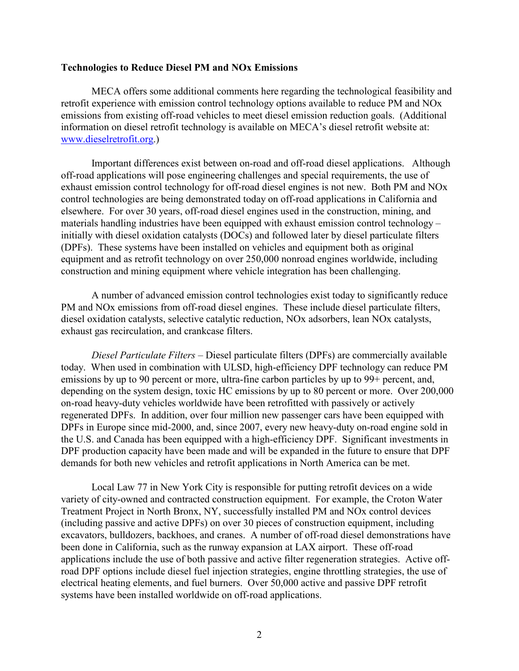#### Technologies to Reduce Diesel PM and NOx Emissions

MECA offers some additional comments here regarding the technological feasibility and retrofit experience with emission control technology options available to reduce PM and NOx emissions from existing off-road vehicles to meet diesel emission reduction goals. (Additional information on diesel retrofit technology is available on MECA's diesel retrofit website at: www.dieselretrofit.org.)

Important differences exist between on-road and off-road diesel applications. Although off-road applications will pose engineering challenges and special requirements, the use of exhaust emission control technology for off-road diesel engines is not new. Both PM and NOx control technologies are being demonstrated today on off-road applications in California and elsewhere. For over 30 years, off-road diesel engines used in the construction, mining, and materials handling industries have been equipped with exhaust emission control technology – initially with diesel oxidation catalysts (DOCs) and followed later by diesel particulate filters (DPFs). These systems have been installed on vehicles and equipment both as original equipment and as retrofit technology on over 250,000 nonroad engines worldwide, including construction and mining equipment where vehicle integration has been challenging.

A number of advanced emission control technologies exist today to significantly reduce PM and NOx emissions from off-road diesel engines. These include diesel particulate filters, diesel oxidation catalysts, selective catalytic reduction, NOx adsorbers, lean NOx catalysts, exhaust gas recirculation, and crankcase filters.

Diesel Particulate Filters – Diesel particulate filters (DPFs) are commercially available today. When used in combination with ULSD, high-efficiency DPF technology can reduce PM emissions by up to 90 percent or more, ultra-fine carbon particles by up to 99+ percent, and, depending on the system design, toxic HC emissions by up to 80 percent or more. Over 200,000 on-road heavy-duty vehicles worldwide have been retrofitted with passively or actively regenerated DPFs. In addition, over four million new passenger cars have been equipped with DPFs in Europe since mid-2000, and, since 2007, every new heavy-duty on-road engine sold in the U.S. and Canada has been equipped with a high-efficiency DPF. Significant investments in DPF production capacity have been made and will be expanded in the future to ensure that DPF demands for both new vehicles and retrofit applications in North America can be met.

Local Law 77 in New York City is responsible for putting retrofit devices on a wide variety of city-owned and contracted construction equipment. For example, the Croton Water Treatment Project in North Bronx, NY, successfully installed PM and NOx control devices (including passive and active DPFs) on over 30 pieces of construction equipment, including excavators, bulldozers, backhoes, and cranes. A number of off-road diesel demonstrations have been done in California, such as the runway expansion at LAX airport. These off-road applications include the use of both passive and active filter regeneration strategies. Active offroad DPF options include diesel fuel injection strategies, engine throttling strategies, the use of electrical heating elements, and fuel burners. Over 50,000 active and passive DPF retrofit systems have been installed worldwide on off-road applications.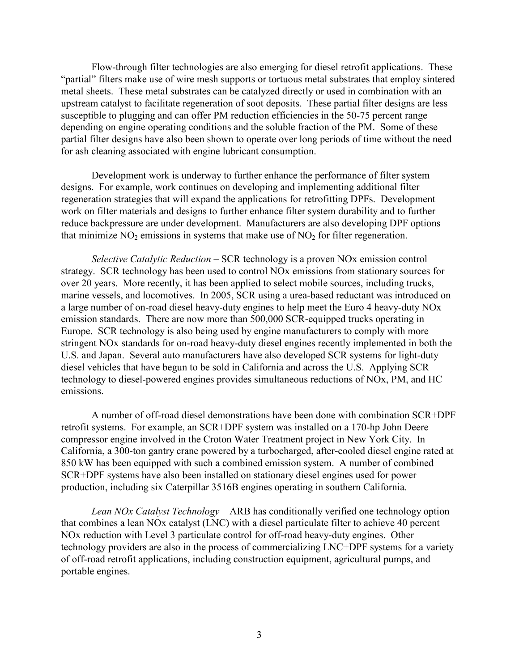Flow-through filter technologies are also emerging for diesel retrofit applications. These "partial" filters make use of wire mesh supports or tortuous metal substrates that employ sintered metal sheets. These metal substrates can be catalyzed directly or used in combination with an upstream catalyst to facilitate regeneration of soot deposits. These partial filter designs are less susceptible to plugging and can offer PM reduction efficiencies in the 50-75 percent range depending on engine operating conditions and the soluble fraction of the PM. Some of these partial filter designs have also been shown to operate over long periods of time without the need for ash cleaning associated with engine lubricant consumption.

Development work is underway to further enhance the performance of filter system designs. For example, work continues on developing and implementing additional filter regeneration strategies that will expand the applications for retrofitting DPFs. Development work on filter materials and designs to further enhance filter system durability and to further reduce backpressure are under development. Manufacturers are also developing DPF options that minimize  $NO<sub>2</sub>$  emissions in systems that make use of  $NO<sub>2</sub>$  for filter regeneration.

Selective Catalytic Reduction – SCR technology is a proven NOx emission control strategy. SCR technology has been used to control NOx emissions from stationary sources for over 20 years. More recently, it has been applied to select mobile sources, including trucks, marine vessels, and locomotives. In 2005, SCR using a urea-based reductant was introduced on a large number of on-road diesel heavy-duty engines to help meet the Euro 4 heavy-duty NOx emission standards. There are now more than 500,000 SCR-equipped trucks operating in Europe. SCR technology is also being used by engine manufacturers to comply with more stringent NOx standards for on-road heavy-duty diesel engines recently implemented in both the U.S. and Japan. Several auto manufacturers have also developed SCR systems for light-duty diesel vehicles that have begun to be sold in California and across the U.S. Applying SCR technology to diesel-powered engines provides simultaneous reductions of NOx, PM, and HC emissions.

A number of off-road diesel demonstrations have been done with combination SCR+DPF retrofit systems. For example, an SCR+DPF system was installed on a 170-hp John Deere compressor engine involved in the Croton Water Treatment project in New York City. In California, a 300-ton gantry crane powered by a turbocharged, after-cooled diesel engine rated at 850 kW has been equipped with such a combined emission system. A number of combined SCR+DPF systems have also been installed on stationary diesel engines used for power production, including six Caterpillar 3516B engines operating in southern California.

Lean NOx Catalyst Technology – ARB has conditionally verified one technology option that combines a lean NOx catalyst (LNC) with a diesel particulate filter to achieve 40 percent NOx reduction with Level 3 particulate control for off-road heavy-duty engines. Other technology providers are also in the process of commercializing LNC+DPF systems for a variety of off-road retrofit applications, including construction equipment, agricultural pumps, and portable engines.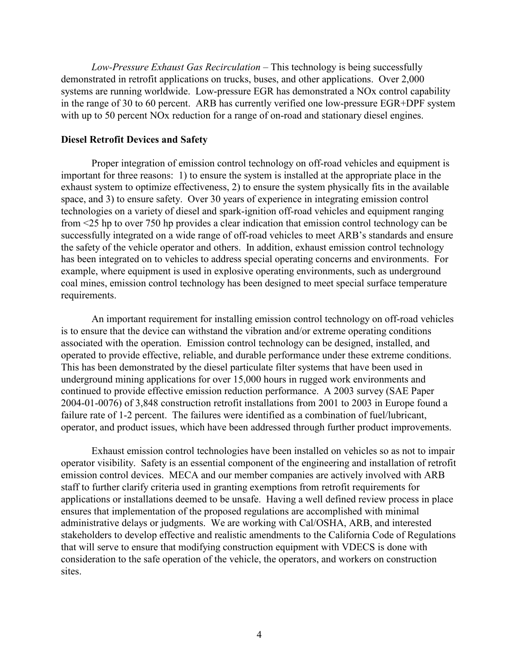Low-Pressure Exhaust Gas Recirculation – This technology is being successfully demonstrated in retrofit applications on trucks, buses, and other applications. Over 2,000 systems are running worldwide. Low-pressure EGR has demonstrated a NOx control capability in the range of 30 to 60 percent. ARB has currently verified one low-pressure EGR+DPF system with up to 50 percent NO<sub>x</sub> reduction for a range of on-road and stationary diesel engines.

## Diesel Retrofit Devices and Safety

Proper integration of emission control technology on off-road vehicles and equipment is important for three reasons: 1) to ensure the system is installed at the appropriate place in the exhaust system to optimize effectiveness, 2) to ensure the system physically fits in the available space, and 3) to ensure safety. Over 30 years of experience in integrating emission control technologies on a variety of diesel and spark-ignition off-road vehicles and equipment ranging from <25 hp to over 750 hp provides a clear indication that emission control technology can be successfully integrated on a wide range of off-road vehicles to meet ARB's standards and ensure the safety of the vehicle operator and others. In addition, exhaust emission control technology has been integrated on to vehicles to address special operating concerns and environments. For example, where equipment is used in explosive operating environments, such as underground coal mines, emission control technology has been designed to meet special surface temperature requirements.

An important requirement for installing emission control technology on off-road vehicles is to ensure that the device can withstand the vibration and/or extreme operating conditions associated with the operation. Emission control technology can be designed, installed, and operated to provide effective, reliable, and durable performance under these extreme conditions. This has been demonstrated by the diesel particulate filter systems that have been used in underground mining applications for over 15,000 hours in rugged work environments and continued to provide effective emission reduction performance. A 2003 survey (SAE Paper 2004-01-0076) of 3,848 construction retrofit installations from 2001 to 2003 in Europe found a failure rate of 1-2 percent. The failures were identified as a combination of fuel/lubricant, operator, and product issues, which have been addressed through further product improvements.

Exhaust emission control technologies have been installed on vehicles so as not to impair operator visibility. Safety is an essential component of the engineering and installation of retrofit emission control devices. MECA and our member companies are actively involved with ARB staff to further clarify criteria used in granting exemptions from retrofit requirements for applications or installations deemed to be unsafe. Having a well defined review process in place ensures that implementation of the proposed regulations are accomplished with minimal administrative delays or judgments. We are working with Cal/OSHA, ARB, and interested stakeholders to develop effective and realistic amendments to the California Code of Regulations that will serve to ensure that modifying construction equipment with VDECS is done with consideration to the safe operation of the vehicle, the operators, and workers on construction sites.